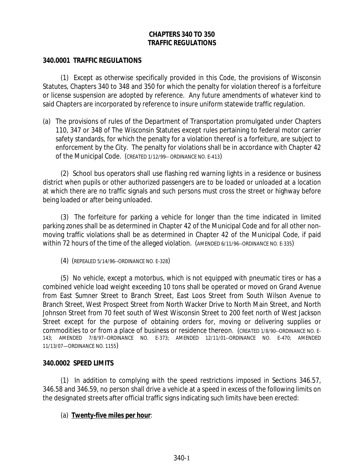# **CHAPTERS 340 TO 350 TRAFFIC REGULATIONS**

### **340.0001 TRAFFIC REGULATIONS**

(1) Except as otherwise specifically provided in this Code, the provisions of Wisconsin Statutes, Chapters 340 to 348 and 350 for which the penalty for violation thereof is a forfeiture or license suspension are adopted by reference. Any future amendments of whatever kind to said Chapters are incorporated by reference to insure uniform statewide traffic regulation.

(a) The provisions of rules of the Department of Transportation promulgated under Chapters 110, 347 or 348 of The Wisconsin Statutes except rules pertaining to federal motor carrier safety standards, for which the penalty for a violation thereof is a forfeiture, are subject to enforcement by the City. The penalty for violations shall be in accordance with Chapter 42 of the Municipal Code. (CREATED 1/12/99-- ORDINANCE NO. E-413)

(2) School bus operators shall use flashing red warning lights in a residence or business district when pupils or other authorized passengers are to be loaded or unloaded at a location at which there are no traffic signals and such persons must cross the street or highway before being loaded or after being unloaded.

(3) The forfeiture for parking a vehicle for longer than the time indicated in limited parking zones shall be as determined in Chapter 42 of the Municipal Code and for all other nonmoving traffic violations shall be as determined in Chapter 42 of the Municipal Code, if paid within 72 hours of the time of the alleged violation. (AMENDED 6/11/96--ORDINANCE NO. E-335)

(4) (REPEALED 5/14/96--ORDINANCE NO. E-328)

(5) No vehicle, except a motorbus, which is not equipped with pneumatic tires or has a combined vehicle load weight exceeding 10 tons shall be operated or moved on Grand Avenue from East Sumner Street to Branch Street, East Loos Street from South Wilson Avenue to Branch Street, West Prospect Street from North Wacker Drive to North Main Street, and North Johnson Street from 70 feet south of West Wisconsin Street to 200 feet north of West Jackson Street except for the purpose of obtaining orders for, moving or delivering supplies or commodities to or from a place of business or residence thereon. (CREATED 1/8/90--ORDINANCE NO. E-143; AMENDED 7/8/97--ORDINANCE NO. E-373; AMENDED 12/11/01--ORDINANCE NO. E-470; AMENDED 11/13/07—ORDINANCE NO. 1155)

#### **340.0002 SPEED LIMITS**

(1) In addition to complying with the speed restrictions imposed in Sections 346.57, 346.58 and 346.59, no person shall drive a vehicle at a speed in excess of the following limits on the designated streets after official traffic signs indicating such limits have been erected:

## (a) *Twenty-five miles per hour*: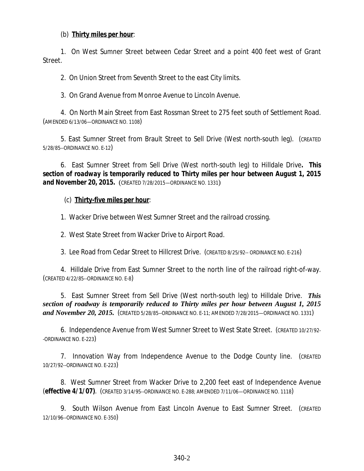### (b) *Thirty miles per hour*:

1. On West Sumner Street between Cedar Street and a point 400 feet west of Grant Street.

2. On Union Street from Seventh Street to the east City limits.

3. On Grand Avenue from Monroe Avenue to Lincoln Avenue.

4. On North Main Street from East Rossman Street to 275 feet south of Settlement Road. (AMENDED 6/13/06—ORDINANCE NO. 1108)

5. East Sumner Street from Brault Street to Sell Drive (West north-south leg). (CREATED 5/28/85--ORDINANCE NO. E-12)

6. East Sumner Street from Sell Drive (West north-south leg) to Hilldale Drive*. This section of roadway is temporarily reduced to Thirty miles per hour between August 1, 2015 and November 20, 2015.* (CREATED 7/28/2015—ORDINANCE NO. 1331)

### (c) *Thirty-five miles per hour*:

1. Wacker Drive between West Sumner Street and the railroad crossing.

2. West State Street from Wacker Drive to Airport Road.

3. Lee Road from Cedar Street to Hillcrest Drive. (CREATED 8/25/92-- ORDINANCE NO. E-216)

4. Hilldale Drive from East Sumner Street to the north line of the railroad right-of-way. (CREATED 4/22/85--ORDINANCE NO. E-8)

5. East Sumner Street from Sell Drive (West north-south leg) to Hilldale Drive. *This section of roadway is temporarily reduced to Thirty miles per hour between August 1, 2015 and November 20, 2015.* (CREATED 5/28/85--ORDINANCE NO. E-11; AMENDED 7/28/2015—ORDINANCE NO. 1331)

6. Independence Avenue from West Sumner Street to West State Street. (CREATED 10/27/92- -ORDINANCE NO. E-223)

7. Innovation Way from Independence Avenue to the Dodge County line. (CREATED 10/27/92--ORDINANCE NO. E-223)

8. West Sumner Street from Wacker Drive to 2,200 feet east of Independence Avenue (*effective 4/1/07***)**. (CREATED 3/14/95--ORDINANCE NO. E-288; AMENDED 7/11/06—ORDINANCE NO. 1118)

9. South Wilson Avenue from East Lincoln Avenue to East Sumner Street. (CREATED 12/10/96--ORDINANCE NO. E-350)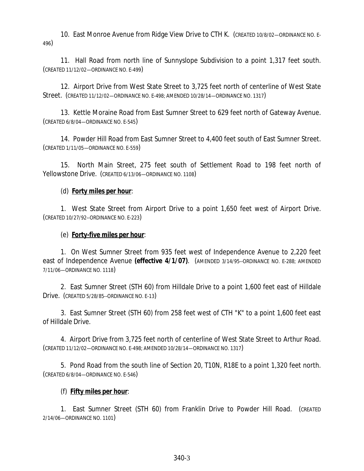10. East Monroe Avenue from Ridge View Drive to CTH K. (CREATED 10/8/02—ORDINANCE NO. E-496)

11. Hall Road from north line of Sunnyslope Subdivision to a point 1,317 feet south. (CREATED 11/12/02—ORDINANCE NO. E-499)

12. Airport Drive from West State Street to 3,725 feet north of centerline of West State Street. (CREATED 11/12/02—ORDINANCE NO. E-498; AMENDED 10/28/14—ORDINANCE NO. 1317)

13. Kettle Moraine Road from East Sumner Street to 629 feet north of Gateway Avenue. (CREATED 6/8/04—ORDINANCE NO. E-545)

14. Powder Hill Road from East Sumner Street to 4,400 feet south of East Sumner Street. (CREATED 1/11/05—ORDINANCE NO. E-559)

15. North Main Street, 275 feet south of Settlement Road to 198 feet north of Yellowstone Drive. (CREATED 6/13/06—ORDINANCE NO. 1108)

# (d) *Forty miles per hour*:

1. West State Street from Airport Drive to a point 1,650 feet west of Airport Drive. (CREATED 10/27/92--ORDINANCE NO. E-223)

# (e) *Forty-five miles per hour*:

1. On West Sumner Street from 935 feet west of Independence Avenue to 2,220 feet east of Independence Avenue *(effective 4/1/07)*. (AMENDED 3/14/95--ORDINANCE NO. E-288; AMENDED 7/11/06—ORDINANCE NO. 1118)

2. East Sumner Street (STH 60) from Hilldale Drive to a point 1,600 feet east of Hilldale Drive. (CREATED 5/28/85--ORDINANCE NO. E-13)

3. East Sumner Street (STH 60) from 258 feet west of CTH "K" to a point 1,600 feet east of Hilldale Drive.

4. Airport Drive from 3,725 feet north of centerline of West State Street to Arthur Road. (CREATED 11/12/02—ORDINANCE NO. E-498; AMENDED 10/28/14—ORDINANCE NO. 1317)

5. Pond Road from the south line of Section 20, T10N, R18E to a point 1,320 feet north. (CREATED 6/8/04—ORDINANCE NO. E-546)

## (f) *Fifty miles per hour*:

1. East Sumner Street (STH 60) from Franklin Drive to Powder Hill Road. (CREATED 2/14/06—ORDINANCE NO. 1101)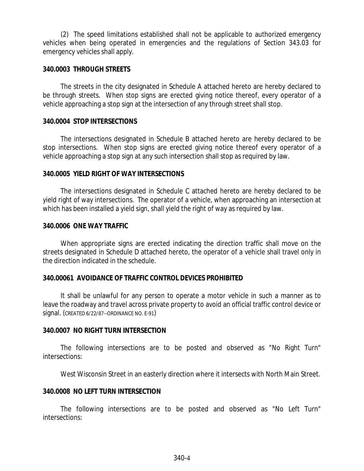(2) The speed limitations established shall not be applicable to authorized emergency vehicles when being operated in emergencies and the regulations of Section 343.03 for emergency vehicles shall apply.

### **340.0003 THROUGH STREETS**

The streets in the city designated in Schedule A attached hereto are hereby declared to be through streets. When stop signs are erected giving notice thereof, every operator of a vehicle approaching a stop sign at the intersection of any through street shall stop.

### **340.0004 STOP INTERSECTIONS**

The intersections designated in Schedule B attached hereto are hereby declared to be stop intersections. When stop signs are erected giving notice thereof every operator of a vehicle approaching a stop sign at any such intersection shall stop as required by law.

### **340.0005 YIELD RIGHT OF WAY INTERSECTIONS**

The intersections designated in Schedule C attached hereto are hereby declared to be yield right of way intersections. The operator of a vehicle, when approaching an intersection at which has been installed a yield sign, shall yield the right of way as required by law.

### **340.0006 ONE WAY TRAFFIC**

When appropriate signs are erected indicating the direction traffic shall move on the streets designated in Schedule D attached hereto, the operator of a vehicle shall travel only in the direction indicated in the schedule.

## **340.00061 AVOIDANCE OF TRAFFIC CONTROL DEVICES PROHIBITED**

It shall be unlawful for any person to operate a motor vehicle in such a manner as to leave the roadway and travel across private property to avoid an official traffic control device or signal. (CREATED 6/22/87--ORDINANCE NO. E-91)

## **340.0007 NO RIGHT TURN INTERSECTION**

The following intersections are to be posted and observed as "No Right Turn" intersections:

West Wisconsin Street in an easterly direction where it intersects with North Main Street.

## **340.0008 NO LEFT TURN INTERSECTION**

The following intersections are to be posted and observed as "No Left Turn" intersections: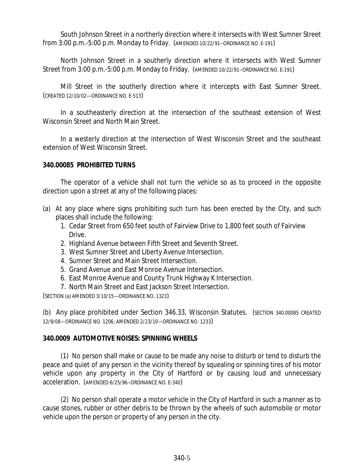South Johnson Street in a northerly direction where it intersects with West Sumner Street from 3:00 p.m.-5:00 p.m. Monday to Friday. (AMENDED 10/22/91--ORDINANCE NO. E-191)

North Johnson Street in a southerly direction where it intersects with West Sumner Street from 3:00 p.m.-5:00 p.m. Monday to Friday. (AMENDED 10/22/91--ORDINANCE NO. E-191)

Mill Street in the southerly direction where it intercepts with East Sumner Street. (CREATED 12/10/02—ORDINANCE NO. E-513)

In a southeasterly direction at the intersection of the southeast extension of West Wisconsin Street and North Main Street.

In a westerly direction at the intersection of West Wisconsin Street and the southeast extension of West Wisconsin Street.

# **340.00085 PROHIBITED TURNS**

The operator of a vehicle shall not turn the vehicle so as to proceed in the opposite direction upon a street at any of the following places:

- (a) At any place where signs prohibiting such turn has been erected by the City, and such places shall include the following:
	- 1. Cedar Street from 650 feet south of Fairview Drive to 1,800 feet south of Fairview Drive.
	- 2. Highland Avenue between Fifth Street and Seventh Street.
	- 3. West Sumner Street and Liberty Avenue Intersection.
	- 4. Sumner Street and Main Street Intersection.
	- 5. Grand Avenue and East Monroe Avenue Intersection.
	- 6. East Monroe Avenue and County Trunk Highway K Intersection.
	- 7. North Main Street and East Jackson Street Intersection.

(SECTION (a) AMENDED 3/10/15—ORDINANCE NO. 1323)

(b) Any place prohibited under Section 346.33, Wisconsin Statutes. (SECTION 340.00085 CREATED 12/9/08—ORDINANCE NO. 1206; AMENDED 2/23/10—ORDINANCE NO. 1233)

## **340.0009 AUTOMOTIVE NOISES: SPINNING WHEELS**

(1) No person shall make or cause to be made any noise to disturb or tend to disturb the peace and quiet of any person in the vicinity thereof by squealing or spinning tires of his motor vehicle upon any property in the City of Hartford or by causing loud and unnecessary acceleration. (AMENDED 6/25/96--ORDINANCE NO. E-340)

(2) No person shall operate a motor vehicle in the City of Hartford in such a manner as to cause stones, rubber or other debris to be thrown by the wheels of such automobile or motor vehicle upon the person or property of any person in the city.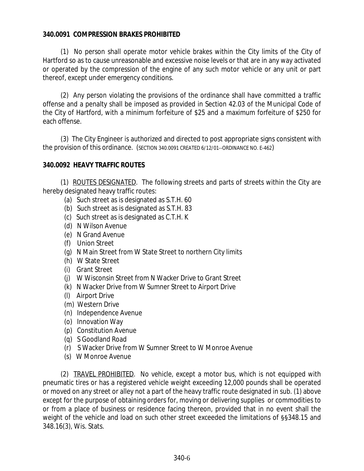## **340.0091 COMPRESSION BRAKES PROHIBITED**

(1) No person shall operate motor vehicle brakes within the City limits of the City of Hartford so as to cause unreasonable and excessive noise levels or that are in any way activated or operated by the compression of the engine of any such motor vehicle or any unit or part thereof, except under emergency conditions.

(2) Any person violating the provisions of the ordinance shall have committed a traffic offense and a penalty shall be imposed as provided in Section 42.03 of the Municipal Code of the City of Hartford, with a minimum forfeiture of \$25 and a maximum forfeiture of \$250 for each offense.

(3) The City Engineer is authorized and directed to post appropriate signs consistent with the provision of this ordinance. (SECTION 340.0091 CREATED 6/12/01--ORDINANCE NO. E-462)

# **340.0092 HEAVY TRAFFIC ROUTES**

(1) ROUTES DESIGNATED. The following streets and parts of streets within the City are hereby designated heavy traffic routes:

- (a) Such street as is designated as S.T.H. 60
- (b) Such street as is designated as S.T.H. 83
- (c) Such street as is designated as C.T.H. K
- (d) N Wilson Avenue
- (e) N Grand Avenue
- (f) Union Street
- (g) N Main Street from W State Street to northern City limits
- (h) W State Street
- (i) Grant Street
- (j) W Wisconsin Street from N Wacker Drive to Grant Street
- (k) N Wacker Drive from W Sumner Street to Airport Drive
- (l) Airport Drive
- (m) Western Drive
- (n) Independence Avenue
- (o) Innovation Way
- (p) Constitution Avenue
- (q) S Goodland Road
- (r) S Wacker Drive from W Sumner Street to W Monroe Avenue
- (s) W Monroe Avenue

(2) TRAVEL PROHIBITED. No vehicle, except a motor bus, which is not equipped with pneumatic tires or has a registered vehicle weight exceeding 12,000 pounds shall be operated or moved on any street or alley not a part of the heavy traffic route designated in sub. (1) above except for the purpose of obtaining orders for, moving or delivering supplies or commodities to or from a place of business or residence facing thereon, provided that in no event shall the weight of the vehicle and load on such other street exceeded the limitations of §§348.15 and 348.16(3), Wis. Stats.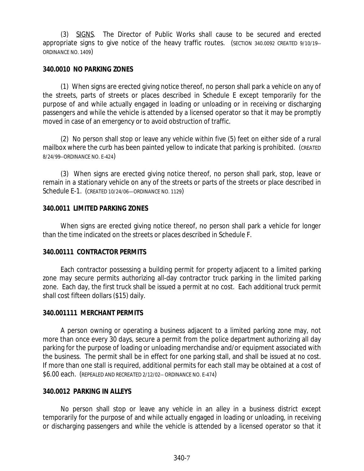(3) SIGNS. The Director of Public Works shall cause to be secured and erected appropriate signs to give notice of the heavy traffic routes. (SECTION 340.0092 CREATED 9/10/19-- ORDINANCE NO. 1409)

### **340.0010 NO PARKING ZONES**

(1) When signs are erected giving notice thereof, no person shall park a vehicle on any of the streets, parts of streets or places described in Schedule E except temporarily for the purpose of and while actually engaged in loading or unloading or in receiving or discharging passengers and while the vehicle is attended by a licensed operator so that it may be promptly moved in case of an emergency or to avoid obstruction of traffic.

(2) No person shall stop or leave any vehicle within five (5) feet on either side of a rural mailbox where the curb has been painted yellow to indicate that parking is prohibited. (CREATED 8/24/99--ORDINANCE NO. E-424)

(3) When signs are erected giving notice thereof, no person shall park, stop, leave or remain in a stationary vehicle on any of the streets or parts of the streets or place described in Schedule E-1. (CREATED 10/24/06—ORDINANCE NO. 1129)

### **340.0011 LIMITED PARKING ZONES**

When signs are erected giving notice thereof, no person shall park a vehicle for longer than the time indicated on the streets or places described in Schedule F.

## **340.00111 CONTRACTOR PERMITS**

Each contractor possessing a building permit for property adjacent to a limited parking zone may secure permits authorizing all-day contractor truck parking in the limited parking zone. Each day, the first truck shall be issued a permit at no cost. Each additional truck permit shall cost fifteen dollars (\$15) daily.

#### **340.001111 MERCHANT PERMITS**

A person owning or operating a business adjacent to a limited parking zone may, not more than once every 30 days, secure a permit from the police department authorizing all day parking for the purpose of loading or unloading merchandise and/or equipment associated with the business. The permit shall be in effect for one parking stall, and shall be issued at no cost. If more than one stall is required, additional permits for each stall may be obtained at a cost of \$6.00 each. (REPEALED AND RECREATED 2/12/02-- ORDINANCE NO. E-474)

#### **340.0012 PARKING IN ALLEYS**

No person shall stop or leave any vehicle in an alley in a business district except temporarily for the purpose of and while actually engaged in loading or unloading, in receiving or discharging passengers and while the vehicle is attended by a licensed operator so that it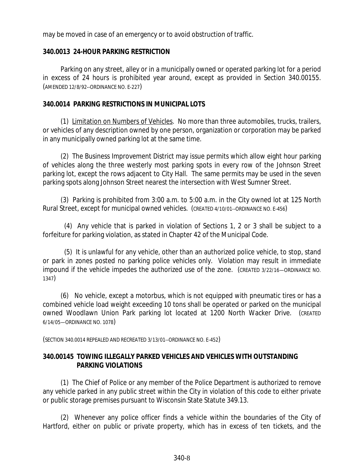may be moved in case of an emergency or to avoid obstruction of traffic.

## **340.0013 24-HOUR PARKING RESTRICTION**

Parking on any street, alley or in a municipally owned or operated parking lot for a period in excess of 24 hours is prohibited year around, except as provided in Section 340.00155. (AMENDED 12/8/92--ORDINANCE NO. E-227)

## **340.0014 PARKING RESTRICTIONS IN MUNICIPAL LOTS**

(1) Limitation on Numbers of Vehicles. No more than three automobiles, trucks, trailers, or vehicles of any description owned by one person, organization or corporation may be parked in any municipally owned parking lot at the same time.

(2) The Business Improvement District may issue permits which allow eight hour parking of vehicles along the three westerly most parking spots in every row of the Johnson Street parking lot, except the rows adjacent to City Hall. The same permits may be used in the seven parking spots along Johnson Street nearest the intersection with West Sumner Street.

(3) Parking is prohibited from 3:00 a.m. to 5:00 a.m. in the City owned lot at 125 North Rural Street, except for municipal owned vehicles. (CREATED 4/10/01--ORDINANCE NO. E-456)

(4) Any vehicle that is parked in violation of Sections 1, 2 or 3 shall be subject to a forfeiture for parking violation, as stated in Chapter 42 of the Municipal Code.

(5) It is unlawful for any vehicle, other than an authorized police vehicle, to stop, stand or park in zones posted no parking police vehicles only. Violation may result in immediate impound if the vehicle impedes the authorized use of the zone. (CREATED 3/22/16—ORDINANCE NO. 1347)

(6) No vehicle, except a motorbus, which is not equipped with pneumatic tires or has a combined vehicle load weight exceeding 10 tons shall be operated or parked on the municipal owned Woodlawn Union Park parking lot located at 1200 North Wacker Drive. (CREATED 6/14/05—ORDINANCE NO. 1078)

(SECTION 340.0014 REPEALED AND RECREATED 3/13/01--ORDINANCE NO. E-452)

# **340.00145 TOWING ILLEGALLY PARKED VEHICLES AND VEHICLES WITH OUTSTANDING PARKING VIOLATIONS**

(1) The Chief of Police or any member of the Police Department is authorized to remove any vehicle parked in any public street within the City in violation of this code to either private or public storage premises pursuant to Wisconsin State Statute 349.13.

(2) Whenever any police officer finds a vehicle within the boundaries of the City of Hartford, either on public or private property, which has in excess of ten tickets, and the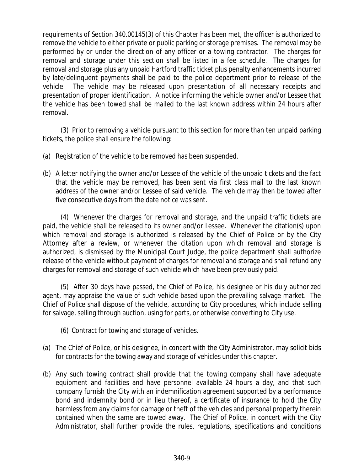requirements of Section 340.00145(3) of this Chapter has been met, the officer is authorized to remove the vehicle to either private or public parking or storage premises. The removal may be performed by or under the direction of any officer or a towing contractor. The charges for removal and storage under this section shall be listed in a fee schedule. The charges for removal and storage plus any unpaid Hartford traffic ticket plus penalty enhancements incurred by late/delinquent payments shall be paid to the police department prior to release of the vehicle. The vehicle may be released upon presentation of all necessary receipts and presentation of proper identification. A notice informing the vehicle owner and/or Lessee that the vehicle has been towed shall be mailed to the last known address within 24 hours after removal.

(3) Prior to removing a vehicle pursuant to this section for more than ten unpaid parking tickets, the police shall ensure the following:

- (a) Registration of the vehicle to be removed has been suspended.
- (b) A letter notifying the owner and/or Lessee of the vehicle of the unpaid tickets and the fact that the vehicle may be removed, has been sent via first class mail to the last known address of the owner and/or Lessee of said vehicle. The vehicle may then be towed after five consecutive days from the date notice was sent.

(4) Whenever the charges for removal and storage, and the unpaid traffic tickets are paid, the vehicle shall be released to its owner and/or Lessee. Whenever the citation(s) upon which removal and storage is authorized is released by the Chief of Police or by the City Attorney after a review, or whenever the citation upon which removal and storage is authorized, is dismissed by the Municipal Court Judge, the police department shall authorize release of the vehicle without payment of charges for removal and storage and shall refund any charges for removal and storage of such vehicle which have been previously paid.

(5) After 30 days have passed, the Chief of Police, his designee or his duly authorized agent, may appraise the value of such vehicle based upon the prevailing salvage market. The Chief of Police shall dispose of the vehicle, according to City procedures, which include selling for salvage, selling through auction, using for parts, or otherwise converting to City use.

- (6) Contract for towing and storage of vehicles.
- (a) The Chief of Police, or his designee, in concert with the City Administrator, may solicit bids for contracts for the towing away and storage of vehicles under this chapter.
- (b) Any such towing contract shall provide that the towing company shall have adequate equipment and facilities and have personnel available 24 hours a day, and that such company furnish the City with an indemnification agreement supported by a performance bond and indemnity bond or in lieu thereof, a certificate of insurance to hold the City harmless from any claims for damage or theft of the vehicles and personal property therein contained when the same are towed away. The Chief of Police, in concert with the City Administrator, shall further provide the rules, regulations, specifications and conditions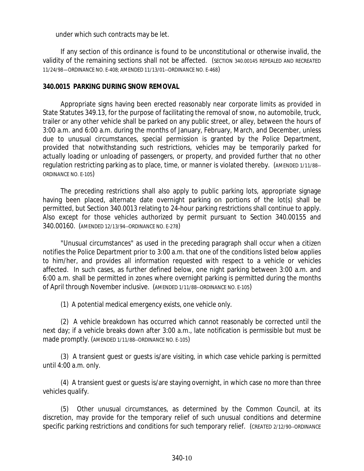under which such contracts may be let.

If any section of this ordinance is found to be unconstitutional or otherwise invalid, the validity of the remaining sections shall not be affected. (SECTION 340.00145 REPEALED AND RECREATED 11/24/98—ORDINANCE NO. E-408; AMENDED 11/13/01--ORDINANCE NO. E-468)

### **340.0015 PARKING DURING SNOW REMOVAL**

Appropriate signs having been erected reasonably near corporate limits as provided in State Statutes 349.13, for the purpose of facilitating the removal of snow, no automobile, truck, trailer or any other vehicle shall be parked on any public street, or alley, between the hours of 3:00 a.m. and 6:00 a.m. during the months of January, February, March, and December, unless due to unusual circumstances, special permission is granted by the Police Department, provided that notwithstanding such restrictions, vehicles may be temporarily parked for actually loading or unloading of passengers, or property, and provided further that no other regulation restricting parking as to place, time, or manner is violated thereby. (AMENDED 1/11/88-- ORDINANCE NO. E-105)

The preceding restrictions shall also apply to public parking lots, appropriate signage having been placed, alternate date overnight parking on portions of the lot(s) shall be permitted, but Section 340.0013 relating to 24-hour parking restrictions shall continue to apply. Also except for those vehicles authorized by permit pursuant to Section 340.00155 and 340.00160. (AMENDED 12/13/94--ORDINANCE NO. E-278)

"Unusual circumstances" as used in the preceding paragraph shall occur when a citizen notifies the Police Department prior to 3:00 a.m. that one of the conditions listed below applies to him/her, and provides all information requested with respect to a vehicle or vehicles affected. In such cases, as further defined below, one night parking between 3:00 a.m. and 6:00 a.m. shall be permitted in zones where overnight parking is permitted during the months of April through November inclusive. (AMENDED 1/11/88--ORDINANCE NO. E-105)

(1) A potential medical emergency exists, one vehicle only.

(2) A vehicle breakdown has occurred which cannot reasonably be corrected until the next day; if a vehicle breaks down after 3:00 a.m., late notification is permissible but must be made promptly. (AMENDED 1/11/88--ORDINANCE NO. E-105)

(3) A transient guest or guests is/are visiting, in which case vehicle parking is permitted until 4:00 a.m. only.

(4) A transient guest or guests is/are staying overnight, in which case no more than three vehicles qualify.

(5) Other unusual circumstances, as determined by the Common Council, at its discretion, may provide for the temporary relief of such unusual conditions and determine specific parking restrictions and conditions for such temporary relief. (CREATED 2/12/90--ORDINANCE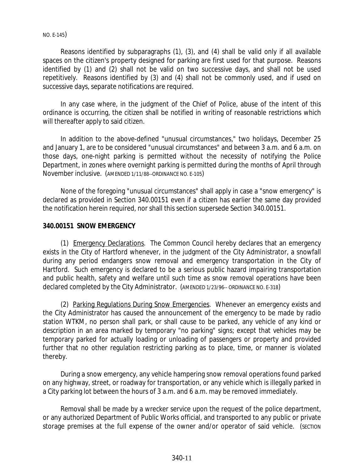#### NO. E-145)

Reasons identified by subparagraphs (1), (3), and (4) shall be valid only if all available spaces on the citizen's property designed for parking are first used for that purpose. Reasons identified by (1) and (2) shall not be valid on two successive days, and shall not be used repetitively. Reasons identified by (3) and (4) shall not be commonly used, and if used on successive days, separate notifications are required.

In any case where, in the judgment of the Chief of Police, abuse of the intent of this ordinance is occurring, the citizen shall be notified in writing of reasonable restrictions which will thereafter apply to said citizen.

In addition to the above-defined "unusual circumstances," two holidays, December 25 and January 1, are to be considered "unusual circumstances" and between 3 a.m. and 6 a.m. on those days, one-night parking is permitted without the necessity of notifying the Police Department, in zones where overnight parking is permitted during the months of April through November inclusive. (AMENDED 1/11/88--ORDINANCE NO. E-105)

None of the foregoing "unusual circumstances" shall apply in case a "snow emergency" is declared as provided in Section 340.00151 even if a citizen has earlier the same day provided the notification herein required, nor shall this section supersede Section 340.00151.

### **340.00151 SNOW EMERGENCY**

(1) Emergency Declarations. The Common Council hereby declares that an emergency exists in the City of Hartford whenever, in the judgment of the City Administrator, a snowfall during any period endangers snow removal and emergency transportation in the City of Hartford. Such emergency is declared to be a serious public hazard impairing transportation and public health, safety and welfare until such time as snow removal operations have been declared completed by the City Administrator. (AMENDED 1/23/96-- ORDINANCE NO. E-318)

(2) Parking Regulations During Snow Emergencies. Whenever an emergency exists and the City Administrator has caused the announcement of the emergency to be made by radio station WTKM, no person shall park, or shall cause to be parked, any vehicle of any kind or description in an area marked by temporary "no parking" signs; except that vehicles may be temporary parked for actually loading or unloading of passengers or property and provided further that no other regulation restricting parking as to place, time, or manner is violated thereby.

During a snow emergency, any vehicle hampering snow removal operations found parked on any highway, street, or roadway for transportation, or any vehicle which is illegally parked in a City parking lot between the hours of 3 a.m. and 6 a.m. may be removed immediately.

Removal shall be made by a wrecker service upon the request of the police department, or any authorized Department of Public Works official, and transported to any public or private storage premises at the full expense of the owner and/or operator of said vehicle. (SECTION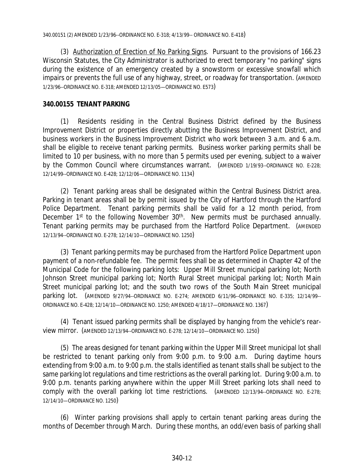(3) Authorization of Erection of No Parking Signs. Pursuant to the provisions of 166.23 Wisconsin Statutes, the City Administrator is authorized to erect temporary "no parking" signs during the existence of an emergency created by a snowstorm or excessive snowfall which impairs or prevents the full use of any highway, street, or roadway for transportation. (AMENDED 1/23/96--ORDINANCE NO. E-318; AMENDED 12/13/05—ORDINANCE NO. E573)

## **340.00155 TENANT PARKING**

(1) Residents residing in the Central Business District defined by the Business Improvement District or properties directly abutting the Business Improvement District, and business workers in the Business Improvement District who work between 3 a.m. and 6 a.m. shall be eligible to receive tenant parking permits. Business worker parking permits shall be limited to 10 per business, with no more than 5 permits used per evening, subject to a waiver by the Common Council where circumstances warrant. (AMENDED 1/19/93--ORDINANCE NO. E-228; 12/14/99--ORDINANCE NO. E-428; 12/12/06—ORDINANCE NO. 1134)

(2) Tenant parking areas shall be designated within the Central Business District area. Parking in tenant areas shall be by permit issued by the City of Hartford through the Hartford Police Department. Tenant parking permits shall be valid for a 12 month period, from December 1<sup>st</sup> to the following November 30<sup>th</sup>. New permits must be purchased annually. Tenant parking permits may be purchased from the Hartford Police Department. (AMENDED 12/13/94--ORDINANCE NO. E-278; 12/14/10—ORDINANCE NO. 1250)

(3) Tenant parking permits may be purchased from the Hartford Police Department upon payment of a non-refundable fee. The permit fees shall be as determined in Chapter 42 of the Municipal Code for the following parking lots: Upper Mill Street municipal parking lot; North Johnson Street municipal parking lot; North Rural Street municipal parking lot; North Main Street municipal parking lot; and the south two rows of the South Main Street municipal parking lot. (AMENDED 9/27/94--ORDINANCE NO. E-274; AMENDED 6/11/96--ORDINANCE NO. E-335; 12/14/99-- ORDINANCE NO. E-428; 12/14/10—ORDINANCE NO. 1250; AMENDED 4/18/17—ORDINANCE NO. 1367)

(4) Tenant issued parking permits shall be displayed by hanging from the vehicle's rearview mirror. (AMENDED 12/13/94--ORDINANCE NO. E-278; 12/14/10—ORDINANCE NO. 1250)

(5) The areas designed for tenant parking within the Upper Mill Street municipal lot shall be restricted to tenant parking only from 9:00 p.m. to 9:00 a.m. During daytime hours extending from 9:00 a.m. to 9:00 p.m. the stalls identified as tenant stalls shall be subject to the same parking lot regulations and time restrictions as the overall parking lot. During 9:00 a.m. to 9:00 p.m. tenants parking anywhere within the upper Mill Street parking lots shall need to comply with the overall parking lot time restrictions. (AMENDED 12/13/94--ORDINANCE NO. E-278; 12/14/10—ORDINANCE NO. 1250)

(6) Winter parking provisions shall apply to certain tenant parking areas during the months of December through March. During these months, an odd/even basis of parking shall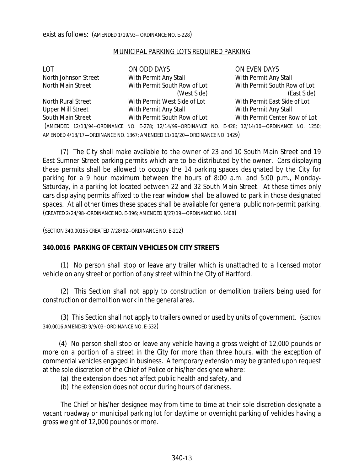#### MUNICIPAL PARKING LOTS REQUIRED PARKING

| LOT                      | ON ODD DAYS                                                                                         | ON EVEN DAYS                  |
|--------------------------|-----------------------------------------------------------------------------------------------------|-------------------------------|
| North Johnson Street     | With Permit Any Stall                                                                               | With Permit Any Stall         |
| North Main Street        | With Permit South Row of Lot                                                                        | With Permit South Row of Lot  |
|                          | (West Side)                                                                                         | (East Side)                   |
| North Rural Street       | With Permit West Side of Lot                                                                        | With Permit East Side of Lot  |
| <b>Upper Mill Street</b> | With Permit Any Stall                                                                               | With Permit Any Stall         |
| South Main Street        | With Permit South Row of Lot                                                                        | With Permit Center Row of Lot |
|                          | (AMENDED 12/13/94--ORDINANCE NO. E-278; 12/14/99--ORDINANCE NO. E-428; 12/14/10-ORDINANCE NO. 1250; |                               |
|                          | AMENDED 4/18/17-ORDINANCE NO. 1367; AMENDED 11/10/20-ORDINANCE NO. 1429)                            |                               |

(7) The City shall make available to the owner of 23 and 10 South Main Street and 19 East Sumner Street parking permits which are to be distributed by the owner. Cars displaying these permits shall be allowed to occupy the 14 parking spaces designated by the City for parking for a 9 hour maximum between the hours of 8:00 a.m. and 5:00 p.m., Monday-Saturday, in a parking lot located between 22 and 32 South Main Street. At these times only cars displaying permits affixed to the rear window shall be allowed to park in those designated spaces. At all other times these spaces shall be available for general public non-permit parking. (CREATED 2/24/98--ORDINANCE NO. E-396; AMENDED 8/27/19—ORDINANCE NO. 1408)

(SECTION 340.00155 CREATED 7/28/92--ORDINANCE NO. E-212)

#### **340.0016 PARKING OF CERTAIN VEHICLES ON CITY STREETS**

(1) No person shall stop or leave any trailer which is unattached to a licensed motor vehicle on any street or portion of any street within the City of Hartford.

(2) This Section shall not apply to construction or demolition trailers being used for construction or demolition work in the general area.

(3) This Section shall not apply to trailers owned or used by units of government. (SECTION 340.0016 AMENDED 9/9/03--ORDINANCE NO. E-532)

(4) No person shall stop or leave any vehicle having a gross weight of 12,000 pounds or more on a portion of a street in the City for more than three hours, with the exception of commercial vehicles engaged in business. A temporary extension may be granted upon request at the sole discretion of the Chief of Police or his/her designee where:

- (a) the extension does not affect public health and safety, and
- (b) the extension does not occur during hours of darkness.

The Chief or his/her designee may from time to time at their sole discretion designate a vacant roadway or municipal parking lot for daytime or overnight parking of vehicles having a gross weight of 12,000 pounds or more.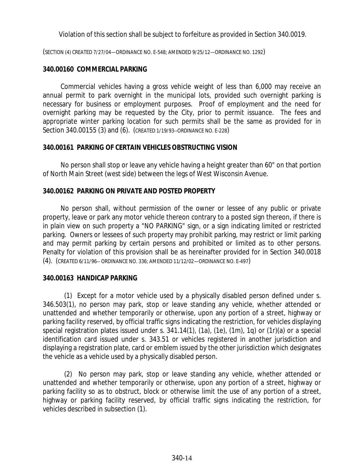Violation of this section shall be subject to forfeiture as provided in Section 340.0019.

(SECTION (4) CREATED 7/27/04—ORDINANCE NO. E-548; AMENDED 9/25/12—ORDINANCE NO. 1292)

### **340.00160 COMMERCIAL PARKING**

Commercial vehicles having a gross vehicle weight of less than 6,000 may receive an annual permit to park overnight in the municipal lots, provided such overnight parking is necessary for business or employment purposes. Proof of employment and the need for overnight parking may be requested by the City, prior to permit issuance. The fees and appropriate winter parking location for such permits shall be the same as provided for in Section 340.00155 (3) and (6). (CREATED 1/19/93--ORDINANCE NO. E-228)

### **340.00161 PARKING OF CERTAIN VEHICLES OBSTRUCTING VISION**

No person shall stop or leave any vehicle having a height greater than 60" on that portion of North Main Street (west side) between the legs of West Wisconsin Avenue.

### **340.00162 PARKING ON PRIVATE AND POSTED PROPERTY**

No person shall, without permission of the owner or lessee of any public or private property, leave or park any motor vehicle thereon contrary to a posted sign thereon, if there is in plain view on such property a "NO PARKING" sign, or a sign indicating limited or restricted parking. Owners or lessees of such property may prohibit parking, may restrict or limit parking and may permit parking by certain persons and prohibited or limited as to other persons. Penalty for violation of this provision shall be as hereinafter provided for in Section 340.0018 (4). (CREATED 6/11/96-- ORDINANCE NO. 336; AMENDED 11/12/02—ORDINANCE NO. E-497)

#### **340.00163 HANDICAP PARKING**

(1) Except for a motor vehicle used by a physically disabled person defined under s. 346.503(1), no person may park, stop or leave standing any vehicle, whether attended or unattended and whether temporarily or otherwise, upon any portion of a street, highway or parking facility reserved, by official traffic signs indicating the restriction, for vehicles displaying special registration plates issued under s. 341.14(1), (1a), (1e), (1m), 1q) or (1r)(a) or a special identification card issued under s. 343.51 or vehicles registered in another jurisdiction and displaying a registration plate, card or emblem issued by the other jurisdiction which designates the vehicle as a vehicle used by a physically disabled person.

(2) No person may park, stop or leave standing any vehicle, whether attended or unattended and whether temporarily or otherwise, upon any portion of a street, highway or parking facility so as to obstruct, block or otherwise limit the use of any portion of a street, highway or parking facility reserved, by official traffic signs indicating the restriction, for vehicles described in subsection (1).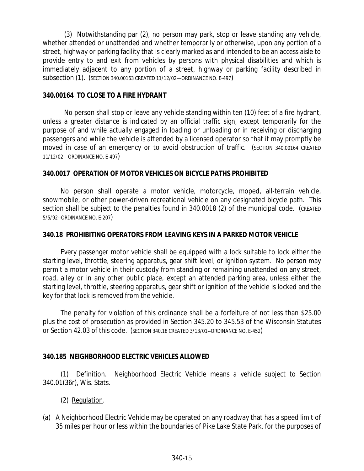(3) Notwithstanding par (2), no person may park, stop or leave standing any vehicle, whether attended or unattended and whether temporarily or otherwise, upon any portion of a street, highway or parking facility that is clearly marked as and intended to be an access aisle to provide entry to and exit from vehicles by persons with physical disabilities and which is immediately adjacent to any portion of a street, highway or parking facility described in subsection (1). (SECTION 340.00163 CREATED 11/12/02—ORDINANCE NO. E-497)

## **340.00164 TO CLOSE TO A FIRE HYDRANT**

No person shall stop or leave any vehicle standing within ten (10) feet of a fire hydrant, unless a greater distance is indicated by an official traffic sign, except temporarily for the purpose of and while actually engaged in loading or unloading or in receiving or discharging passengers and while the vehicle is attended by a licensed operator so that it may promptly be moved in case of an emergency or to avoid obstruction of traffic. (SECTION 340.00164 CREATED 11/12/02—ORDINANCE NO. E-497)

# **340.0017 OPERATION OF MOTOR VEHICLES ON BICYCLE PATHS PROHIBITED**

No person shall operate a motor vehicle, motorcycle, moped, all-terrain vehicle, snowmobile, or other power-driven recreational vehicle on any designated bicycle path. This section shall be subject to the penalties found in 340.0018 (2) of the municipal code. (CREATED 5/5/92--ORDINANCE NO. E-207)

## **340.18 PROHIBITING OPERATORS FROM LEAVING KEYS IN A PARKED MOTOR VEHICLE**

Every passenger motor vehicle shall be equipped with a lock suitable to lock either the starting level, throttle, steering apparatus, gear shift level, or ignition system. No person may permit a motor vehicle in their custody from standing or remaining unattended on any street, road, alley or in any other public place, except an attended parking area, unless either the starting level, throttle, steering apparatus, gear shift or ignition of the vehicle is locked and the key for that lock is removed from the vehicle.

The penalty for violation of this ordinance shall be a forfeiture of not less than \$25.00 plus the cost of prosecution as provided in Section 345.20 to 345.53 of the Wisconsin Statutes or Section 42.03 of this code. (SECTION 340.18 CREATED 3/13/01--ORDINANCE NO. E-452)

# **340.185 NEIGHBORHOOD ELECTRIC VEHICLES ALLOWED**

(1) Definition. Neighborhood Electric Vehicle means a vehicle subject to Section 340.01(36r), Wis. Stats.

- (2) Regulation.
- (a) A Neighborhood Electric Vehicle may be operated on any roadway that has a speed limit of 35 miles per hour or less within the boundaries of Pike Lake State Park, for the purposes of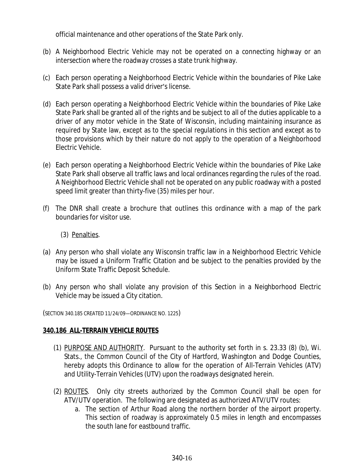official maintenance and other operations of the State Park only.

- (b) A Neighborhood Electric Vehicle may not be operated on a connecting highway or an intersection where the roadway crosses a state trunk highway.
- (c) Each person operating a Neighborhood Electric Vehicle within the boundaries of Pike Lake State Park shall possess a valid driver's license.
- (d) Each person operating a Neighborhood Electric Vehicle within the boundaries of Pike Lake State Park shall be granted all of the rights and be subject to all of the duties applicable to a driver of any motor vehicle in the State of Wisconsin, including maintaining insurance as required by State law, except as to the special regulations in this section and except as to those provisions which by their nature do not apply to the operation of a Neighborhood Electric Vehicle.
- (e) Each person operating a Neighborhood Electric Vehicle within the boundaries of Pike Lake State Park shall observe all traffic laws and local ordinances regarding the rules of the road. A Neighborhood Electric Vehicle shall not be operated on any public roadway with a posted speed limit greater than thirty-five (35) miles per hour.
- (f) The DNR shall create a brochure that outlines this ordinance with a map of the park boundaries for visitor use.
	- (3) Penalties.
- (a) Any person who shall violate any Wisconsin traffic law in a Neighborhood Electric Vehicle may be issued a Uniform Traffic Citation and be subject to the penalties provided by the Uniform State Traffic Deposit Schedule.
- (b) Any person who shall violate any provision of this Section in a Neighborhood Electric Vehicle may be issued a City citation.

(SECTION 340.185 CREATED 11/24/09—ORDINANCE NO. 1225)

## **340.186 ALL-TERRAIN VEHICLE R0UTES**

- (1) PURPOSE AND AUTHORITY. Pursuant to the authority set forth in s. 23.33 (8) (b), Wi. Stats., the Common Council of the City of Hartford, Washington and Dodge Counties, hereby adopts this Ordinance to allow for the operation of All-Terrain Vehicles (ATV) and Utility-Terrain Vehicles (UTV) upon the roadways designated herein.
- (2) ROUTES. Only city streets authorized by the Common Council shall be open for ATV/UTV operation. The following are designated as authorized ATV/UTV routes:
	- a. The section of Arthur Road along the northern border of the airport property. This section of roadway is approximately 0.5 miles in length and encompasses the south lane for eastbound traffic.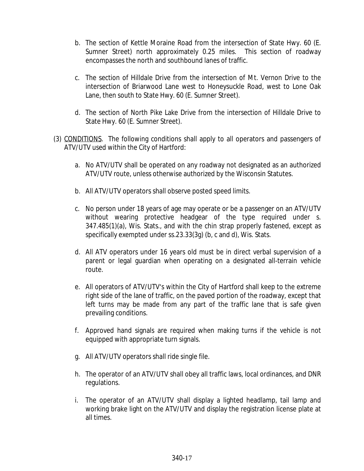- b. The section of Kettle Moraine Road from the intersection of State Hwy. 60 (E. Sumner Street) north approximately 0.25 miles. This section of roadway encompasses the north and southbound lanes of traffic.
- c. The section of Hilldale Drive from the intersection of Mt. Vernon Drive to the intersection of Briarwood Lane west to Honeysuckle Road, west to Lone Oak Lane, then south to State Hwy. 60 (E. Sumner Street).
- d. The section of North Pike Lake Drive from the intersection of Hilldale Drive to State Hwy. 60 (E. Sumner Street).
- (3) CONDITIONS. The following conditions shall apply to all operators and passengers of ATV/UTV used within the City of Hartford:
	- a. No ATV/UTV shall be operated on any roadway not designated as an authorized ATV/UTV route, unless otherwise authorized by the Wisconsin Statutes.
	- b. All ATV/UTV operators shall observe posted speed limits.
	- c. No person under 18 years of age may operate or be a passenger on an ATV/UTV without wearing protective headgear of the type required under s. 347.485(1)(a), Wis. Stats., and with the chin strap properly fastened, except as specifically exempted under ss.23.33(3g) (b, c and d), Wis. Stats.
	- d. All ATV operators under 16 years old must be in direct verbal supervision of a parent or legal guardian when operating on a designated all-terrain vehicle route.
	- e. All operators of ATV/UTV's within the City of Hartford shall keep to the extreme right side of the lane of traffic, on the paved portion of the roadway, except that left turns may be made from any part of the traffic lane that is safe given prevailing conditions.
	- f. Approved hand signals are required when making turns if the vehicle is not equipped with appropriate turn signals.
	- g. All ATV/UTV operators shall ride single file.
	- h. The operator of an ATV/UTV shall obey all traffic laws, local ordinances, and DNR regulations.
	- i. The operator of an ATV/UTV shall display a lighted headlamp, tail lamp and working brake light on the ATV/UTV and display the registration license plate at all times.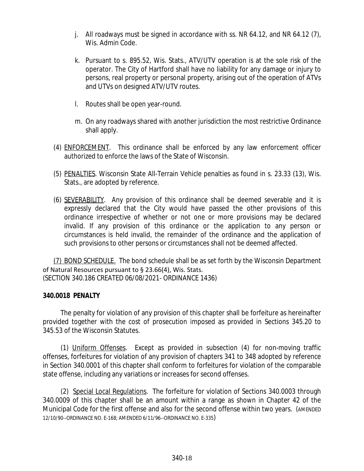- j. All roadways must be signed in accordance with ss. NR 64.12, and NR 64.12 (7), Wis. Admin Code.
- k. Pursuant to s. 895.52, Wis. Stats., ATV/UTV operation is at the sole risk of the operator. The City of Hartford shall have no liability for any damage or injury to persons, real property or personal property, arising out of the operation of ATVs and UTVs on designed ATV/UTV routes.
- l. Routes shall be open year-round.
- m. On any roadways shared with another jurisdiction the most restrictive Ordinance shall apply.
- (4) ENFORCEMENT. This ordinance shall be enforced by any law enforcement officer authorized to enforce the laws of the State of Wisconsin.
- (5) PENALTIES. Wisconsin State All-Terrain Vehicle penalties as found in s. 23.33 (13), Wis. Stats., are adopted by reference.
- (6) SEVERABILITY. Any provision of this ordinance shall be deemed severable and it is expressly declared that the City would have passed the other provisions of this ordinance irrespective of whether or not one or more provisions may be declared invalid. If any provision of this ordinance or the application to any person or circumstances is held invalid, the remainder of the ordinance and the application of such provisions to other persons or circumstances shall not be deemed affected.

(7) BOND SCHEDULE. The bond schedule shall be as set forth by the Wisconsin Department of Natural Resources pursuant to § 23.66(4), Wis. Stats. (SECTION 340.186 CREATED 06/08/2021- ORDINANCE 1436)

## **340.0018 PENALTY**

The penalty for violation of any provision of this chapter shall be forfeiture as hereinafter provided together with the cost of prosecution imposed as provided in Sections 345.20 to 345.53 of the Wisconsin Statutes.

(1) Uniform Offenses. Except as provided in subsection (4) for non-moving traffic offenses, forfeitures for violation of any provision of chapters 341 to 348 adopted by reference in Section 340.0001 of this chapter shall conform to forfeitures for violation of the comparable state offense, including any variations or increases for second offenses.

(2) Special Local Regulations. The forfeiture for violation of Sections 340.0003 through 340.0009 of this chapter shall be an amount within a range as shown in Chapter 42 of the Municipal Code for the first offense and also for the second offense within two years. (AMENDED 12/10/90--ORDINANCE NO. E-168; AMENDED 6/11/96--ORDINANCE NO. E-335)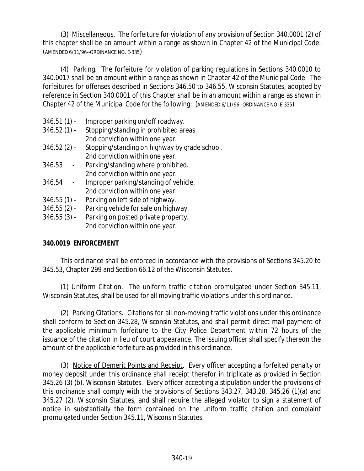(3) Miscellaneous. The forfeiture for violation of any provision of Section 340.0001 (2) of this chapter shall be an amount within a range as shown in Chapter 42 of the Municipal Code. (AMENDED 6/11/96--ORDINANCE NO. E-335)

(4) Parking. The forfeiture for violation of parking regulations in Sections 340.0010 to 340.0017 shall be an amount within a range as shown in Chapter 42 of the Municipal Code. The forfeitures for offenses described in Sections 346.50 to 346.55, Wisconsin Statutes, adopted by reference in Section 340.0001 of this Chapter shall be in an amount within a range as shown in Chapter 42 of the Municipal Code for the following: (AMENDED 6/11/96--ORDINANCE NO. E-335)

- 346.51 (1) Improper parking on/off roadway.
- 346.52 (1) Stopping/standing in prohibited areas. 2nd conviction within one year.
- 346.52 (2) Stopping/standing on highway by grade school. 2nd conviction within one year.
- 346.53 Parking/standing where prohibited. 2nd conviction within one year.
- 346.54 Improper parking/standing of vehicle. 2nd conviction within one year.
- 346.55 (1) Parking on left side of highway.
- 346.55 (2) Parking vehicle for sale on highway.
- 346.55 (3) Parking on posted private property. 2nd conviction within one year.

# **340.0019 ENFORCEMENT**

This ordinance shall be enforced in accordance with the provisions of Sections 345.20 to 345.53, Chapter 299 and Section 66.12 of the Wisconsin Statutes.

(1) Uniform Citation. The uniform traffic citation promulgated under Section 345.11, Wisconsin Statutes, shall be used for all moving traffic violations under this ordinance.

(2) Parking Citations. Citations for all non-moving traffic violations under this ordinance shall conform to Section 345.28, Wisconsin Statutes, and shall permit direct mail payment of the applicable minimum forfeiture to the City Police Department within 72 hours of the issuance of the citation in lieu of court appearance. The issuing officer shall specify thereon the amount of the applicable forfeiture as provided in this ordinance.

(3) Notice of Demerit Points and Receipt. Every officer accepting a forfeited penalty or money deposit under this ordinance shall receipt therefor in triplicate as provided in Section 345.26 (3) (b), Wisconsin Statutes. Every officer accepting a stipulation under the provisions of this ordinance shall comply with the provisions of Sections 343.27, 343.28, 345.26 (1)(a) and 345.27 (2), Wisconsin Statutes, and shall require the alleged violator to sign a statement of notice in substantially the form contained on the uniform traffic citation and complaint promulgated under Section 345.11, Wisconsin Statutes.